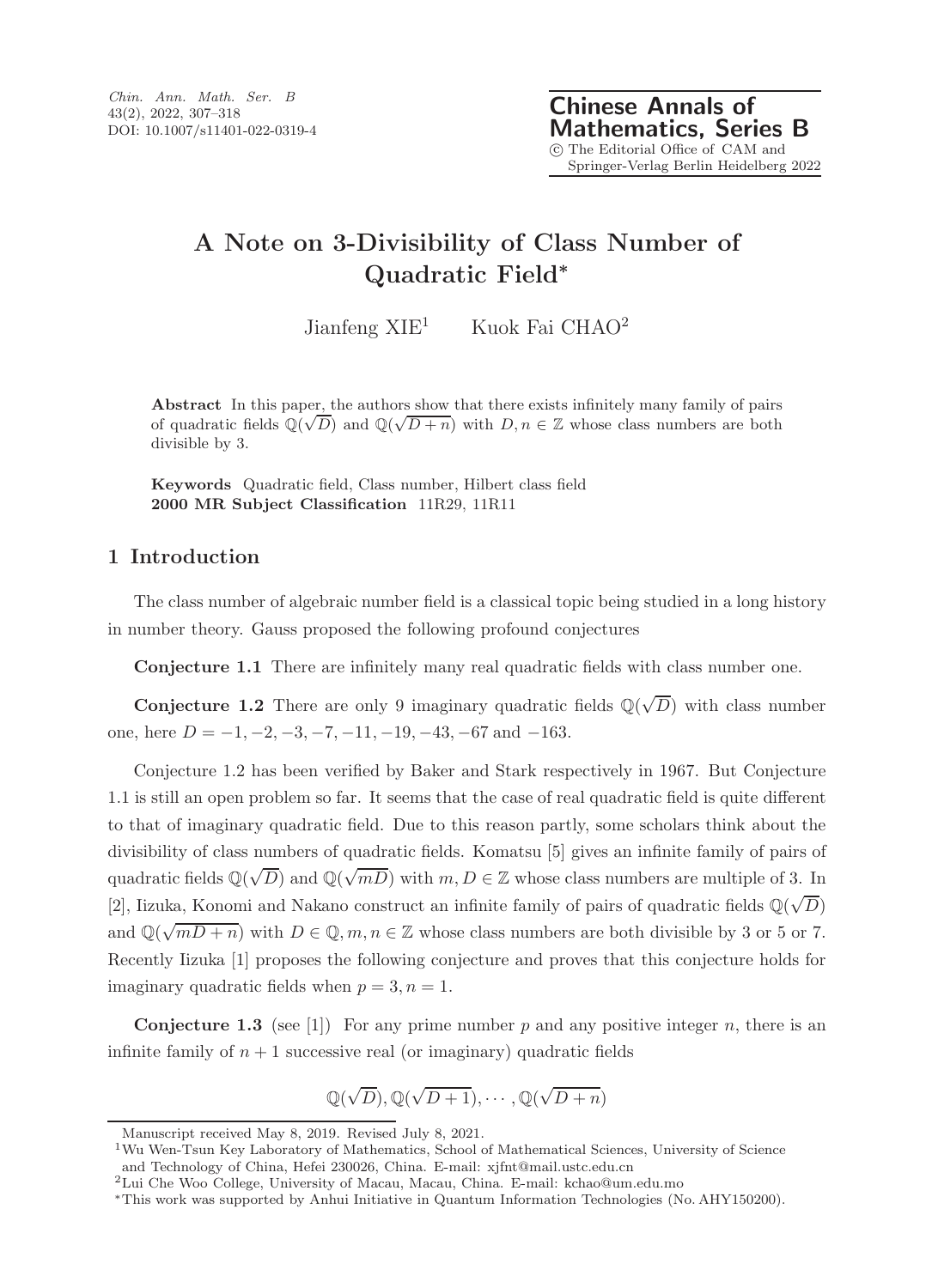## A Note on 3-Divisibility of Class Number of Quadratic Field<sup>∗</sup>

Jianfeng  $XIE<sup>1</sup>$  Kuok Fai CHAO<sup>2</sup>

Abstract In this paper, the authors show that there exists infinitely many family of pairs of quadratic fields  $\mathbb{Q}(\sqrt{D})$  and  $\mathbb{Q}(\sqrt{D+n})$  with  $D, n \in \mathbb{Z}$  whose class numbers are both divisible by 3.

Keywords Quadratic field, Class number, Hilbert class field 2000 MR Subject Classification 11R29, 11R11

### 1 Introduction

The class number of algebraic number field is a classical topic being studied in a long history in number theory. Gauss proposed the following profound conjectures

Conjecture 1.1 There are infinitely many real quadratic fields with class number one.

**Conjecture 1.2** There are only 9 imaginary quadratic fields  $\mathbb{Q}(\sqrt{D})$  with class number one, here  $D = -1, -2, -3, -7, -11, -19, -43, -67$  and  $-163$ .

Conjecture 1.2 has been verified by Baker and Stark respectively in 1967. But Conjecture 1.1 is still an open problem so far. It seems that the case of real quadratic field is quite different to that of imaginary quadratic field. Due to this reason partly, some scholars think about the divisibility of class numbers of quadratic fields. Komatsu [5] gives an infinite family of pairs of quadratic fields  $\mathbb{Q}(\sqrt{D})$  and  $\mathbb{Q}(\sqrt{mD})$  with  $m, D \in \mathbb{Z}$  whose class numbers are multiple of 3. In [2], Iizuka, Konomi and Nakano construct an infinite family of pairs of quadratic fields  $\mathbb{Q}(\sqrt{D})$ and  $\mathbb{Q}(\sqrt{mD+n})$  with  $D \in \mathbb{Q}, m, n \in \mathbb{Z}$  whose class numbers are both divisible by 3 or 5 or 7. Recently Iizuka [1] proposes the following conjecture and proves that this conjecture holds for imaginary quadratic fields when  $p = 3, n = 1$ .

**Conjecture 1.3** (see [1]) For any prime number p and any positive integer n, there is an infinite family of  $n + 1$  successive real (or imaginary) quadratic fields

$$
\mathbb{Q}(\sqrt{D}), \mathbb{Q}(\sqrt{D+1}), \cdots, \mathbb{Q}(\sqrt{D+n})
$$

Manuscript received May 8, 2019. Revised July 8, 2021.

<sup>&</sup>lt;sup>1</sup>Wu Wen-Tsun Key Laboratory of Mathematics, School of Mathematical Sciences, University of Science and Technology of China, Hefei 230026, China. E-mail: xjfnt@mail.ustc.edu.cn

<sup>2</sup>Lui Che Woo College, University of Macau, Macau, China. E-mail: kchao@um.edu.mo

<sup>∗</sup>This work was supported by Anhui Initiative in Quantum Information Technologies (No. AHY150200).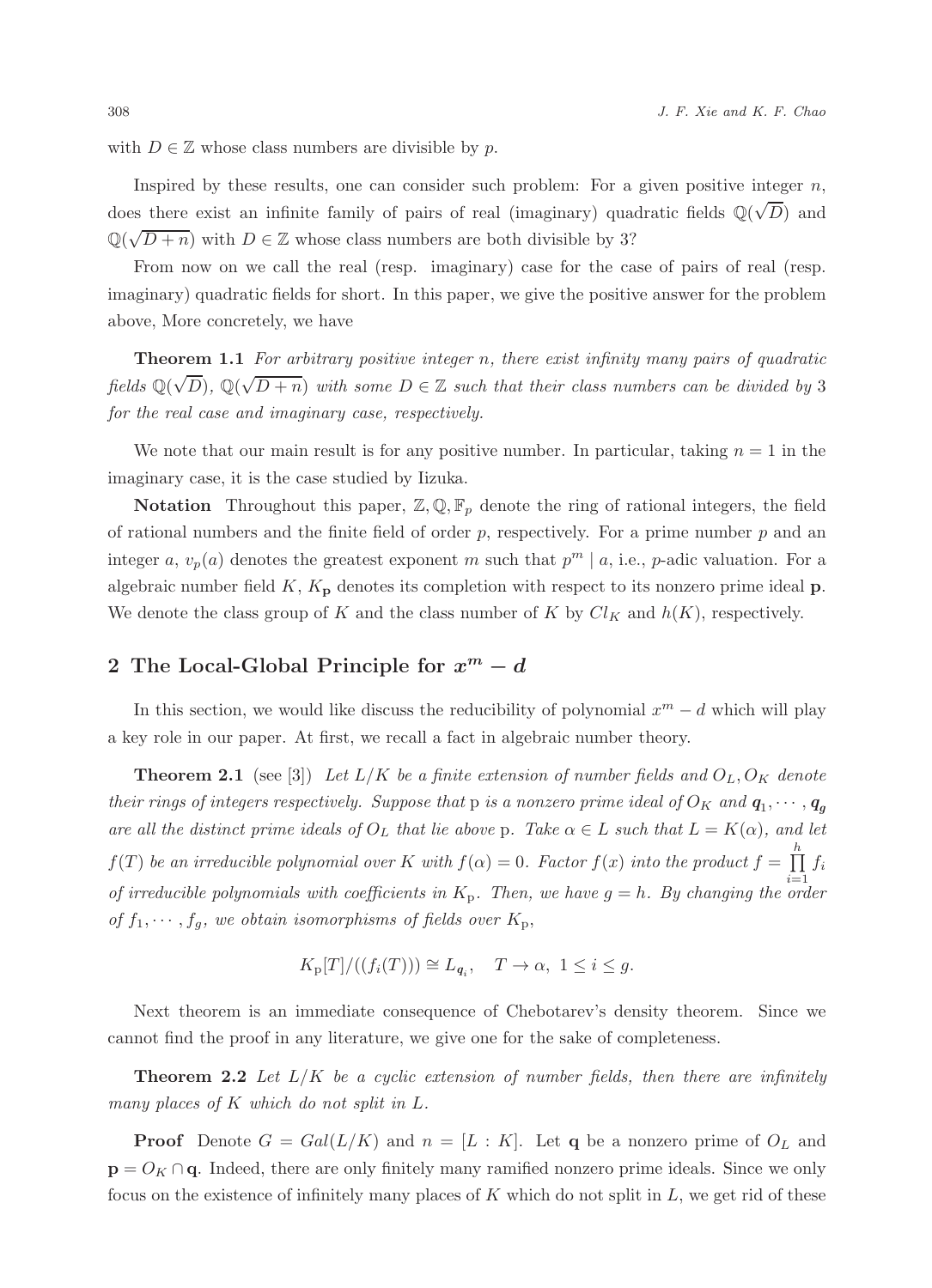with  $D \in \mathbb{Z}$  whose class numbers are divisible by p.

Inspired by these results, one can consider such problem: For a given positive integer  $n$ , does there exist an infinite family of pairs of real (imaginary) quadratic fields  $\mathbb{Q}(\sqrt{D})$  and  $\mathbb{Q}(\sqrt{D+n})$  with  $D \in \mathbb{Z}$  whose class numbers are both divisible by 3?

From now on we call the real (resp. imaginary) case for the case of pairs of real (resp. imaginary) quadratic fields for short. In this paper, we give the positive answer for the problem above, More concretely, we have

**Theorem 1.1** For arbitrary positive integer n, there exist infinity many pairs of quadratic fields  $\mathbb{Q}(\sqrt{D})$ ,  $\mathbb{Q}(\sqrt{D+n})$  with some  $D \in \mathbb{Z}$  such that their class numbers can be divided by 3 for the real case and imaginary case, respectively.

We note that our main result is for any positive number. In particular, taking  $n = 1$  in the imaginary case, it is the case studied by Iizuka.

**Notation** Throughout this paper,  $\mathbb{Z}, \mathbb{Q}, \mathbb{F}_p$  denote the ring of rational integers, the field of rational numbers and the finite field of order  $p$ , respectively. For a prime number  $p$  and an integer a,  $v_p(a)$  denotes the greatest exponent m such that  $p^m \mid a$ , i.e., p-adic valuation. For a algebraic number field K,  $K_{\mathbf{p}}$  denotes its completion with respect to its nonzero prime ideal  $\mathbf{p}$ . We denote the class group of K and the class number of K by  $Cl_K$  and  $h(K)$ , respectively.

# 2 The Local-Global Principle for  $x^m - d$

In this section, we would like discuss the reducibility of polynomial  $x^m - d$  which will play a key role in our paper. At first, we recall a fact in algebraic number theory.

**Theorem 2.1** (see [3]) Let  $L/K$  be a finite extension of number fields and  $O_L, O_K$  denote their rings of integers respectively. Suppose that  ${\rm p}$  is a nonzero prime ideal of  $O_K$  and  ${\bf q}_1, \cdots, {\bf q}_g$ are all the distinct prime ideals of  $O_L$  that lie above p. Take  $\alpha \in L$  such that  $L = K(\alpha)$ , and let  $f(T)$  be an irreducible polynomial over K with  $f(\alpha) = 0$ . Factor  $f(x)$  into the product  $f = \prod_{i=1}^{h} f_i$ of irreducible polynomials with coefficients in  $K_p$ . Then, we have  $g = h$ . By changing the order of  $f_1, \dots, f_g$ , we obtain isomorphisms of fields over  $K_p$ ,

$$
K_{\mathcal{P}}[T]/((f_i(T))) \cong L_{q_i}, \quad T \to \alpha, \ 1 \le i \le g.
$$

Next theorem is an immediate consequence of Chebotarev's density theorem. Since we cannot find the proof in any literature, we give one for the sake of completeness.

**Theorem 2.2** Let  $L/K$  be a cyclic extension of number fields, then there are infinitely many places of K which do not split in L.

**Proof** Denote  $G = Gal(L/K)$  and  $n = [L : K]$ . Let q be a nonzero prime of  $O<sub>L</sub>$  and  $\mathbf{p} = O_K \cap \mathbf{q}$ . Indeed, there are only finitely many ramified nonzero prime ideals. Since we only focus on the existence of infinitely many places of  $K$  which do not split in  $L$ , we get rid of these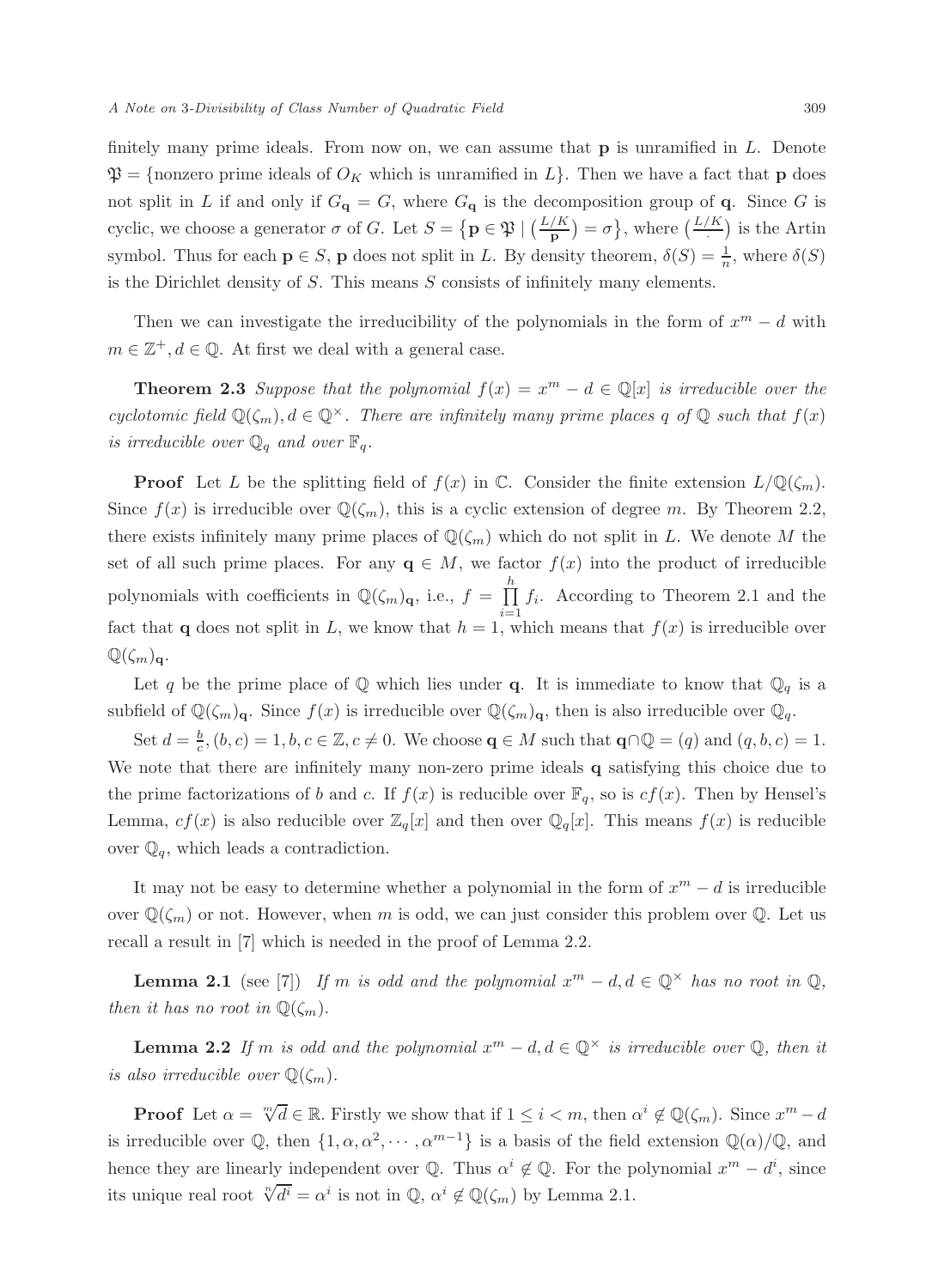finitely many prime ideals. From now on, we can assume that  $p$  is unramified in  $L$ . Denote  $\mathfrak{P} = \{\text{nonzero prime ideals of } O_K \text{ which is unramified in } L\}.$  Then we have a fact that **p** does not split in L if and only if  $G_{\mathbf{q}} = G$ , where  $G_{\mathbf{q}}$  is the decomposition group of  $\mathbf{q}$ . Since G is cyclic, we choose a generator  $\sigma$  of G. Let  $S = \{ \mathbf{p} \in \mathfrak{P} \mid \left( \frac{L/K}{\mathbf{p}} \right) = \sigma \},\$  where  $\left( \frac{L/K}{\sigma} \right)$  is the Artin symbol. Thus for each  $p \in S$ , p does not split in L. By density theorem,  $\delta(S) = \frac{1}{n}$ , where  $\delta(S)$ is the Dirichlet density of  $S$ . This means  $S$  consists of infinitely many elements.

Then we can investigate the irreducibility of the polynomials in the form of  $x^m - d$  with  $m \in \mathbb{Z}^+, d \in \mathbb{Q}$ . At first we deal with a general case.

**Theorem 2.3** Suppose that the polynomial  $f(x) = x^m - d \in \mathbb{Q}[x]$  is irreducible over the cyclotomic field  $\mathbb{Q}(\zeta_m)$ ,  $d \in \mathbb{Q}^\times$ . There are infinitely many prime places q of  $\mathbb{Q}$  such that  $f(x)$ is irreducible over  $\mathbb{Q}_q$  and over  $\mathbb{F}_q$ .

**Proof** Let L be the splitting field of  $f(x)$  in C. Consider the finite extension  $L/\mathbb{Q}(\zeta_m)$ . Since  $f(x)$  is irreducible over  $\mathbb{Q}(\zeta_m)$ , this is a cyclic extension of degree m. By Theorem 2.2, there exists infinitely many prime places of  $\mathbb{Q}(\zeta_m)$  which do not split in L. We denote M the set of all such prime places. For any  $q \in M$ , we factor  $f(x)$  into the product of irreducible polynomials with coefficients in  $\mathbb{Q}(\zeta_m)_{q}$ , i.e.,  $f = \prod^h$  $\prod_{i=1} f_i$ . According to Theorem 2.1 and the fact that **q** does not split in L, we know that  $h = 1$ , which means that  $f(x)$  is irreducible over  $\mathbb{Q}(\zeta_m)_{\mathbf{q}}$ .

Let q be the prime place of  $\mathbb Q$  which lies under q. It is immediate to know that  $\mathbb Q_q$  is a subfield of  $\mathbb{Q}(\zeta_m)_{\mathbf{q}}$ . Since  $f(x)$  is irreducible over  $\mathbb{Q}(\zeta_m)_{\mathbf{q}}$ , then is also irreducible over  $\mathbb{Q}_q$ .

Set  $d = \frac{b}{c}$ ,  $(b, c) = 1, b, c \in \mathbb{Z}, c \neq 0$ . We choose  $q \in M$  such that  $q \cap \mathbb{Q} = (q)$  and  $(q, b, c) = 1$ . We note that there are infinitely many non-zero prime ideals q satisfying this choice due to the prime factorizations of b and c. If  $f(x)$  is reducible over  $\mathbb{F}_q$ , so is  $cf(x)$ . Then by Hensel's Lemma,  $cf(x)$  is also reducible over  $\mathbb{Z}_q[x]$  and then over  $\mathbb{Q}_q[x]$ . This means  $f(x)$  is reducible over  $\mathbb{Q}_q$ , which leads a contradiction.

It may not be easy to determine whether a polynomial in the form of  $x^m - d$  is irreducible over  $\mathbb{Q}(\zeta_m)$  or not. However, when m is odd, we can just consider this problem over  $\mathbb{Q}$ . Let us recall a result in [7] which is needed in the proof of Lemma 2.2.

**Lemma 2.1** (see [7]) If m is odd and the polynomial  $x^m - d, d \in \mathbb{Q}^\times$  has no root in  $\mathbb{Q}$ , then it has no root in  $\mathbb{Q}(\zeta_m)$ .

**Lemma 2.2** If m is odd and the polynomial  $x^m - d$ ,  $d \in \mathbb{Q}^\times$  is irreducible over  $\mathbb{Q}$ , then it is also irreducible over  $\mathbb{Q}(\zeta_m)$ .

**Proof** Let  $\alpha = \sqrt[m]{d} \in \mathbb{R}$ . Firstly we show that if  $1 \leq i < m$ , then  $\alpha^i \notin \mathbb{Q}(\zeta_m)$ . Since  $x^m - d$ is irreducible over  $\mathbb{Q}$ , then  $\{1, \alpha, \alpha^2, \cdots, \alpha^{m-1}\}$  is a basis of the field extension  $\mathbb{Q}(\alpha)/\mathbb{Q}$ , and hence they are linearly independent over  $\mathbb{Q}$ . Thus  $\alpha^i \notin \mathbb{Q}$ . For the polynomial  $x^m - d^i$ , since its unique real root  $\sqrt[n]{d^i} = \alpha^i$  is not in  $\mathbb{Q}, \alpha^i \notin \mathbb{Q}(\zeta_m)$  by Lemma 2.1.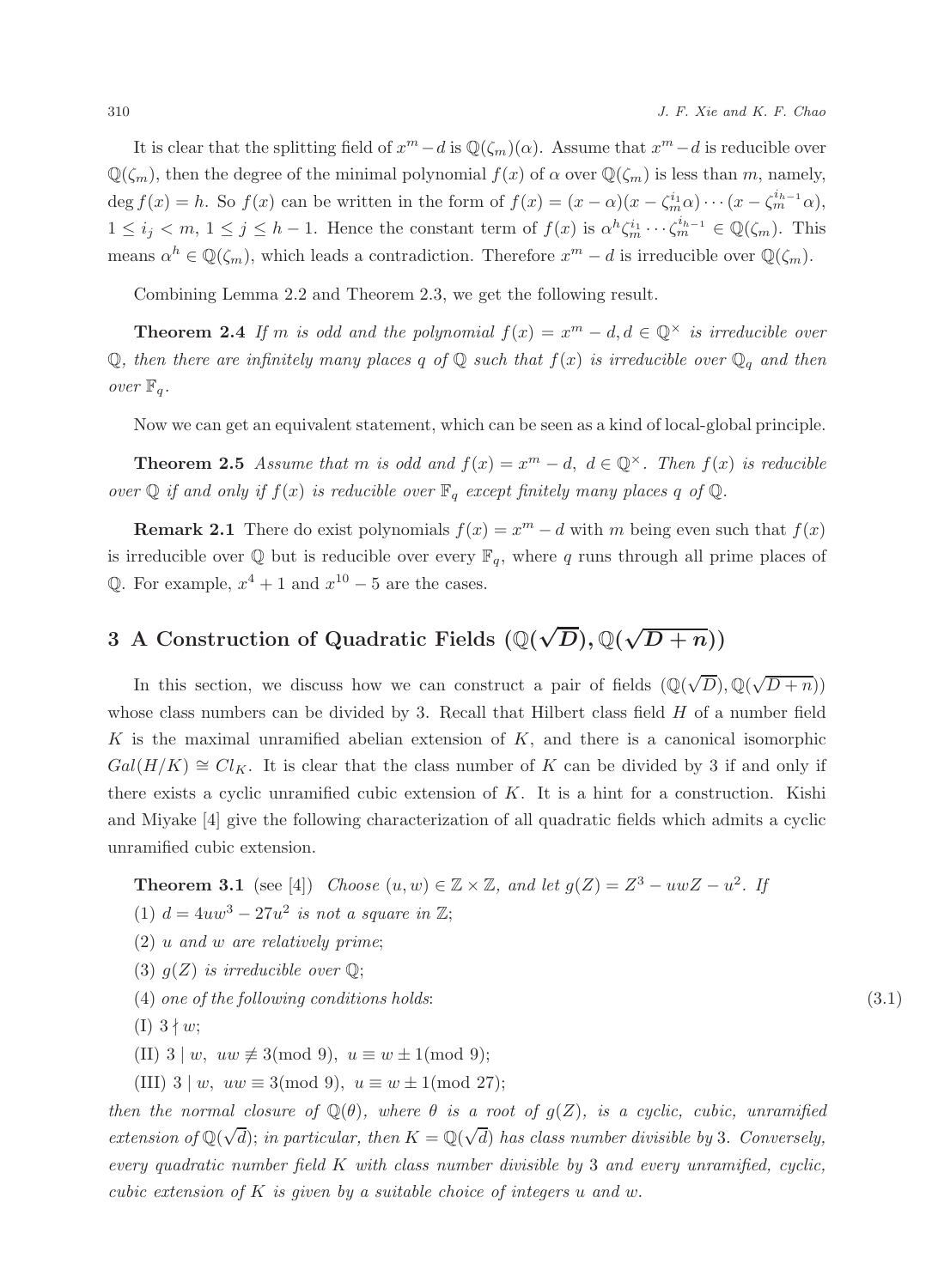It is clear that the splitting field of  $x^m - d$  is  $\mathbb{Q}(\zeta_m)(\alpha)$ . Assume that  $x^m - d$  is reducible over  $\mathbb{Q}(\zeta_m)$ , then the degree of the minimal polynomial  $f(x)$  of  $\alpha$  over  $\mathbb{Q}(\zeta_m)$  is less than m, namely, deg  $f(x) = h$ . So  $f(x)$  can be written in the form of  $f(x) = (x - \alpha)(x - \zeta_m^{i_1} \alpha) \cdots (x - \zeta_m^{i_{h-1}} \alpha)$ ,  $1 \leq i_j < m, 1 \leq j \leq h-1$ . Hence the constant term of  $f(x)$  is  $\alpha^h \zeta_m^{i_1} \cdots \zeta_m^{i_{h-1}} \in \mathbb{Q}(\zeta_m)$ . This means  $\alpha^h \in \mathbb{Q}(\zeta_m)$ , which leads a contradiction. Therefore  $x^m - d$  is irreducible over  $\mathbb{Q}(\zeta_m)$ .

Combining Lemma 2.2 and Theorem 2.3, we get the following result.

**Theorem 2.4** If m is odd and the polynomial  $f(x) = x^m - d, d \in \mathbb{Q}^\times$  is irreducible over  $\mathbb Q$ , then there are infinitely many places q of  $\mathbb Q$  such that  $f(x)$  is irreducible over  $\mathbb Q_q$  and then over  $\mathbb{F}_q$ .

Now we can get an equivalent statement, which can be seen as a kind of local-global principle.

**Theorem 2.5** Assume that m is odd and  $f(x) = x^m - d$ ,  $d \in \mathbb{Q}^{\times}$ . Then  $f(x)$  is reducible over  $\mathbb Q$  if and only if  $f(x)$  is reducible over  $\mathbb F_q$  except finitely many places q of  $\mathbb Q$ .

**Remark 2.1** There do exist polynomials  $f(x) = x^m - d$  with m being even such that  $f(x)$ is irreducible over  $\mathbb Q$  but is reducible over every  $\mathbb F_q$ , where q runs through all prime places of Q. For example,  $x^4 + 1$  and  $x^{10} - 5$  are the cases.

## 3 A Construction of Quadratic Fields  $(\mathbb{Q}(\sqrt{D}), \mathbb{Q}(\sqrt{D+n}))$

In this section, we discuss how we can construct a pair of fields  $(\mathbb{Q}(\sqrt{D}), \mathbb{Q}(\sqrt{D+n}))$ whose class numbers can be divided by 3. Recall that Hilbert class field  $H$  of a number field K is the maximal unramified abelian extension of  $K$ , and there is a canonical isomorphic  $Gal(H/K) \cong Cl_K$ . It is clear that the class number of K can be divided by 3 if and only if there exists a cyclic unramified cubic extension of K. It is a hint for a construction. Kishi and Miyake [4] give the following characterization of all quadratic fields which admits a cyclic unramified cubic extension.

**Theorem 3.1** (see [4]) Choose  $(u, w) \in \mathbb{Z} \times \mathbb{Z}$ , and let  $g(Z) = Z^3 - uwZ - u^2$ . If

(1)  $d = 4uw^3 - 27u^2$  is not a square in  $\mathbb{Z};$ 

- $(2)$  u and w are relatively prime;
- (3)  $g(Z)$  is irreducible over  $\mathbb{Q}$ ;
- $(4)$  one of the following conditions holds:  $(3.1)$
- $(I)$  3  $\nmid w;$

(II) 
$$
3 | w, uw \not\equiv 3 \pmod{9}, u \equiv w \pm 1 \pmod{9};
$$

(III)  $3 | w, uw \equiv 3 \pmod{9}, u \equiv w \pm 1 \pmod{27};$ 

then the normal closure of  $\mathbb{Q}(\theta)$ , where  $\theta$  is a root of  $g(Z)$ , is a cyclic, cubic, unramified extension of  $\mathbb{Q}(\sqrt{d})$ ; in particular, then  $K = \mathbb{Q}(\sqrt{d})$  has class number divisible by 3. Conversely, every quadratic number field  $K$  with class number divisible by 3 and every unramified, cyclic, cubic extension of K is given by a suitable choice of integers u and w.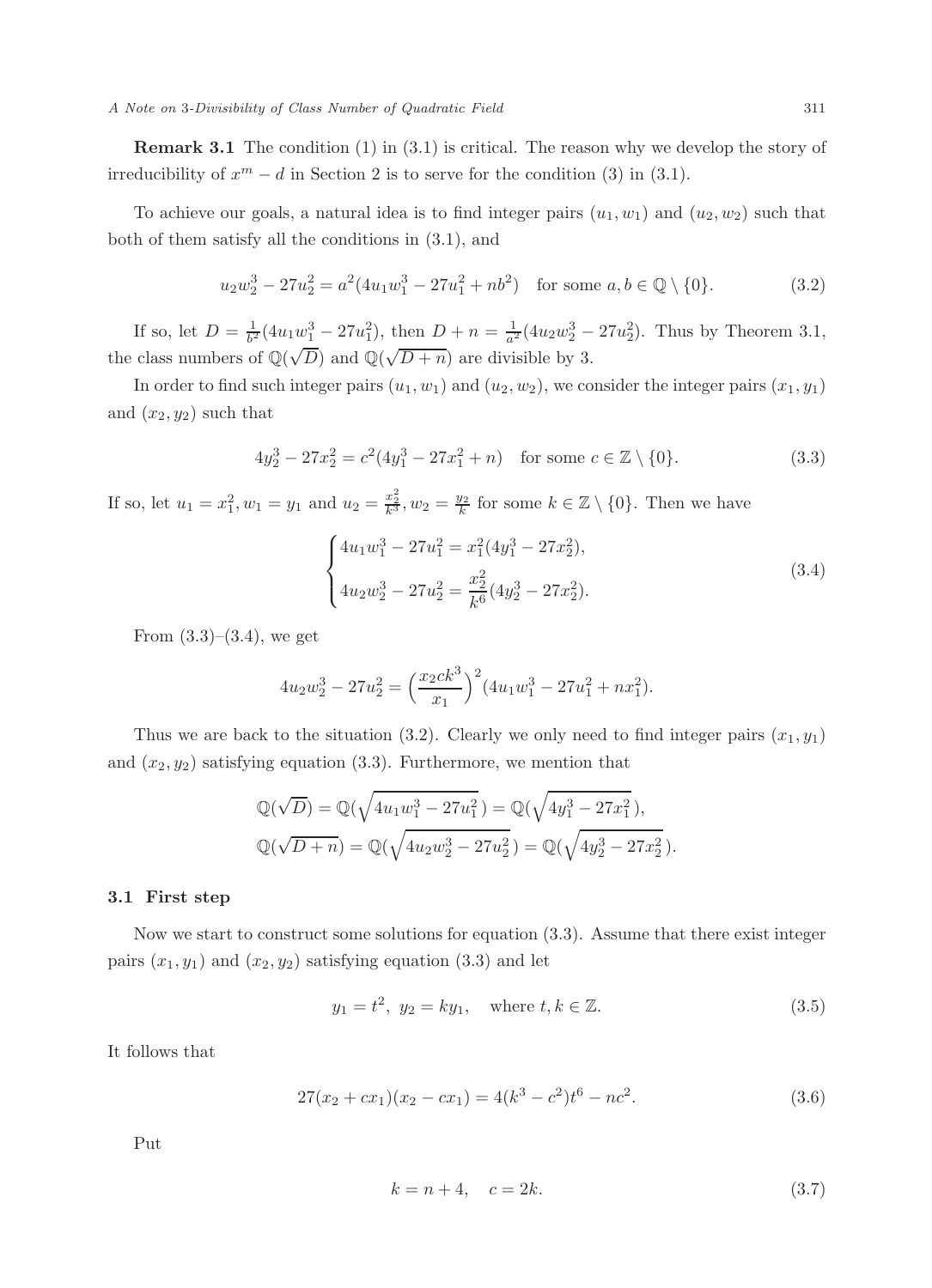A Note on 3-Divisibility of Class Number of Quadratic Field 311

**Remark 3.1** The condition  $(1)$  in  $(3.1)$  is critical. The reason why we develop the story of irreducibility of  $x^m - d$  in Section 2 is to serve for the condition (3) in (3.1).

To achieve our goals, a natural idea is to find integer pairs  $(u_1, w_1)$  and  $(u_2, w_2)$  such that both of them satisfy all the conditions in (3.1), and

$$
u_2 w_2^3 - 27u_2^2 = a^2(4u_1 w_1^3 - 27u_1^2 + nb^2) \quad \text{for some } a, b \in \mathbb{Q} \setminus \{0\}. \tag{3.2}
$$

If so, let  $D = \frac{1}{b^2} (4u_1w_1^3 - 27u_1^2)$ , then  $D + n = \frac{1}{a^2} (4u_2w_2^3 - 27u_2^2)$ . Thus by Theorem 3.1, the class numbers of  $\mathbb{Q}(\sqrt{D})$  and  $\mathbb{Q}(\sqrt{D+n})$  are divisible by 3.

In order to find such integer pairs  $(u_1, w_1)$  and  $(u_2, w_2)$ , we consider the integer pairs  $(x_1, y_1)$ and  $(x_2, y_2)$  such that

$$
4y_2^3 - 27x_2^2 = c^2(4y_1^3 - 27x_1^2 + n) \quad \text{for some } c \in \mathbb{Z} \setminus \{0\}. \tag{3.3}
$$

If so, let  $u_1 = x_1^2, w_1 = y_1$  and  $u_2 = \frac{x_2^2}{k^3}, w_2 = \frac{y_2}{k}$  for some  $k \in \mathbb{Z} \setminus \{0\}$ . Then we have

$$
\begin{cases} 4u_1w_1^3 - 27u_1^2 = x_1^2(4y_1^3 - 27x_2^2), \\ 4u_2w_2^3 - 27u_2^2 = \frac{x_2^2}{k^6}(4y_2^3 - 27x_2^2). \end{cases}
$$
(3.4)

From  $(3.3)$ – $(3.4)$ , we get

$$
4u_2w_2^3 - 27u_2^2 = \left(\frac{x_2ck^3}{x_1}\right)^2 (4u_1w_1^3 - 27u_1^2 + nx_1^2).
$$

Thus we are back to the situation (3.2). Clearly we only need to find integer pairs  $(x_1, y_1)$ and  $(x_2, y_2)$  satisfying equation (3.3). Furthermore, we mention that

$$
\mathbb{Q}(\sqrt{D}) = \mathbb{Q}(\sqrt{4u_1w_1^3 - 27u_1^2}) = \mathbb{Q}(\sqrt{4y_1^3 - 27x_1^2}),
$$
  

$$
\mathbb{Q}(\sqrt{D+n}) = \mathbb{Q}(\sqrt{4u_2w_2^3 - 27u_2^2}) = \mathbb{Q}(\sqrt{4y_2^3 - 27x_2^2}).
$$

#### 3.1 First step

Now we start to construct some solutions for equation (3.3). Assume that there exist integer pairs  $(x_1, y_1)$  and  $(x_2, y_2)$  satisfying equation (3.3) and let

$$
y_1 = t^2, y_2 = ky_1, \text{ where } t, k \in \mathbb{Z}.
$$
 (3.5)

It follows that

$$
27(x2 + cx1)(x2 - cx1) = 4(k3 - c2)t6 - nc2.
$$
\n(3.6)

Put

$$
k = n + 4, \quad c = 2k. \tag{3.7}
$$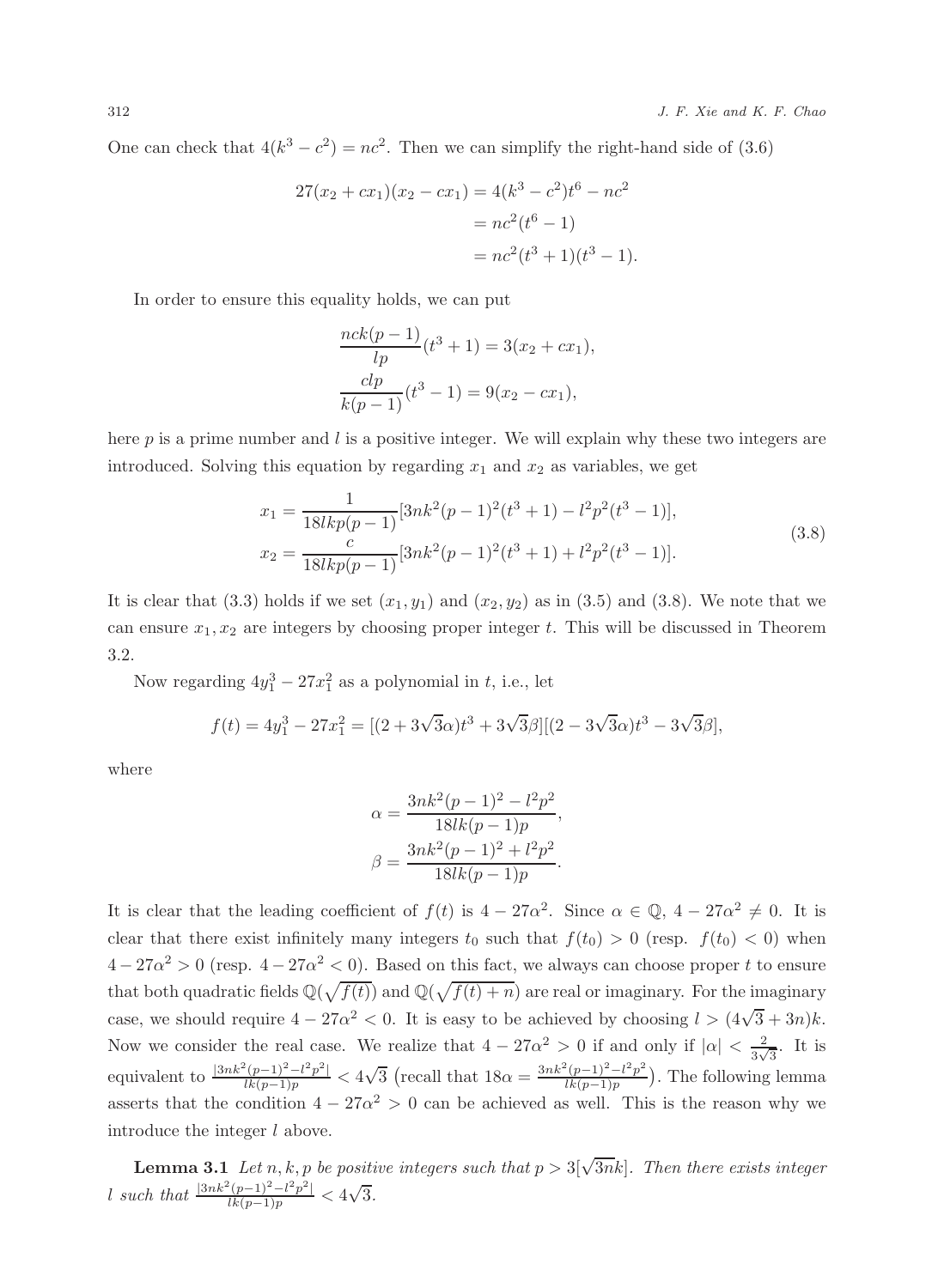One can check that  $4(k^3 - c^2) = nc^2$ . Then we can simplify the right-hand side of (3.6)

$$
27(x_2 + cx_1)(x_2 - cx_1) = 4(k^3 - c^2)t^6 - nc^2
$$
  
=  $nc^2(t^6 - 1)$   
=  $nc^2(t^3 + 1)(t^3 - 1)$ .

In order to ensure this equality holds, we can put

$$
\frac{nck(p-1)}{lp}(t^3+1) = 3(x_2+cx_1),
$$
  

$$
\frac{clp}{k(p-1)}(t^3-1) = 9(x_2-cx_1),
$$

here  $p$  is a prime number and l is a positive integer. We will explain why these two integers are introduced. Solving this equation by regarding  $x_1$  and  $x_2$  as variables, we get

$$
x_1 = \frac{1}{18lkp(p-1)} [3nk^2(p-1)^2(t^3+1) - l^2p^2(t^3-1)],
$$
  
\n
$$
x_2 = \frac{c}{18lkp(p-1)} [3nk^2(p-1)^2(t^3+1) + l^2p^2(t^3-1)].
$$
\n(3.8)

It is clear that (3.3) holds if we set  $(x_1, y_1)$  and  $(x_2, y_2)$  as in (3.5) and (3.8). We note that we can ensure  $x_1, x_2$  are integers by choosing proper integer t. This will be discussed in Theorem 3.2.

Now regarding  $4y_1^3 - 27x_1^2$  as a polynomial in t, i.e., let

$$
f(t) = 4y_1^3 - 27x_1^2 = [(2 + 3\sqrt{3}\alpha)t^3 + 3\sqrt{3}\beta][(2 - 3\sqrt{3}\alpha)t^3 - 3\sqrt{3}\beta],
$$

where

$$
\alpha = \frac{3nk^2(p-1)^2 - l^2p^2}{18lk(p-1)p},
$$

$$
\beta = \frac{3nk^2(p-1)^2 + l^2p^2}{18lk(p-1)p}.
$$

It is clear that the leading coefficient of  $f(t)$  is  $4-27\alpha^2$ . Since  $\alpha \in \mathbb{Q}$ ,  $4-27\alpha^2 \neq 0$ . It is clear that there exist infinitely many integers  $t_0$  such that  $f(t_0) > 0$  (resp.  $f(t_0) < 0$ ) when  $4-27\alpha^2 > 0$  (resp.  $4-27\alpha^2 < 0$ ). Based on this fact, we always can choose proper t to ensure that both quadratic fields  $\mathbb{Q}(\sqrt{f(t)})$  and  $\mathbb{Q}(\sqrt{f(t)+n})$  are real or imaginary. For the imaginary case, we should require  $4 - 27\alpha^2 < 0$ . It is easy to be achieved by choosing  $l > (4\sqrt{3} + 3n)k$ . Now we consider the real case. We realize that  $4 - 27\alpha^2 > 0$  if and only if  $|\alpha| < \frac{2}{3\sqrt{3}}$  $\frac{2}{3\sqrt{3}}$ . It is equivalent to  $\frac{|3nk^2(p-1)^2 - l^2p^2|}{lk(p-1)p} < 4\sqrt{3}$  (recall that  $18\alpha = \frac{3nk^2(p-1)^2 - l^2p^2}{lk(p-1)p}$  $\frac{(p-1)^{2}-l^{2}p^{2}}{lk(p-1)p}$ . The following lemma asserts that the condition  $4 - 27\alpha^2 > 0$  can be achieved as well. This is the reason why we introduce the integer  $l$  above.

**Lemma 3.1** Let n, k, p be positive integers such that  $p > 3[\sqrt{3n}k]$ . Then there exists integer l such that  $\frac{|3nk^2(p-1)^2 - l^2p^2|}{lk(p-1)p} < 4\sqrt{3}$ .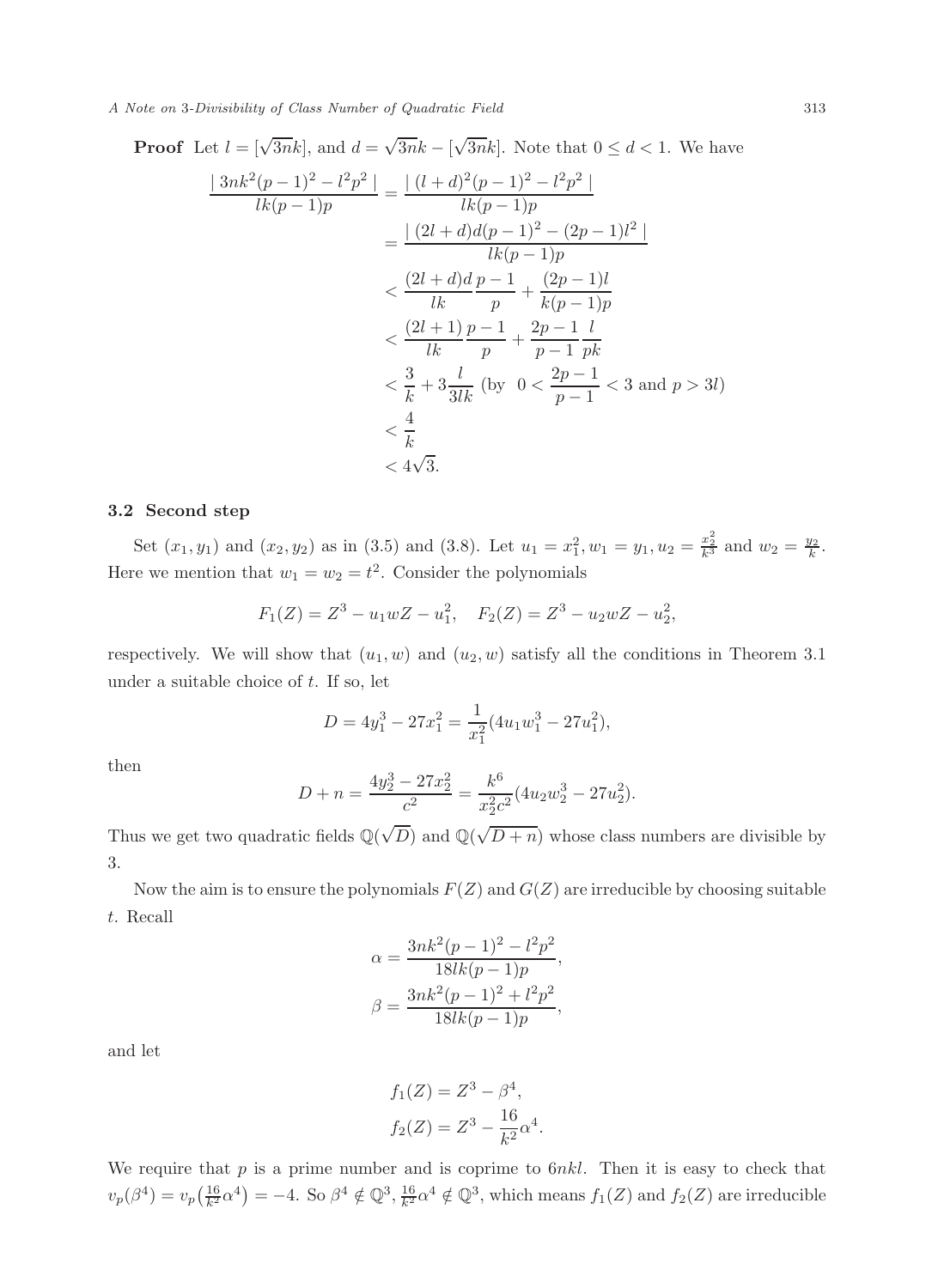A Note on 3-Divisibility of Class Number of Quadratic Field 313

Proof Let 
$$
l = [\sqrt{3nk}]
$$
, and  $d = \sqrt{3nk} - [\sqrt{3nk}]$ . Note that  $0 \le d < 1$ . We have  
\n
$$
\frac{|3nk^2(p-1)^2 - l^2p^2|}{lk(p-1)p} = \frac{|(l+d)^2(p-1)^2 - l^2p^2|}{lk(p-1)p}
$$
\n
$$
= \frac{|(2l+d)d(p-1)^2 - (2p-1)l^2|}{lk(p-1)p}
$$
\n
$$
< \frac{(2l+d)d}{lk} \frac{p-1}{p} + \frac{(2p-1)l}{k(p-1)p}
$$
\n
$$
< \frac{(2l+1)}{lk} \frac{p-1}{p} + \frac{2p-1}{p-1} \frac{l}{pk}
$$
\n
$$
< \frac{3}{k} + 3\frac{l}{3lk}
$$
 (by  $0 < \frac{2p-1}{p-1} < 3$  and  $p > 3l$ )\n
$$
< \frac{4}{k}
$$
\n
$$
< 4\sqrt{3}.
$$

√

#### 3.2 Second step

Set  $(x_1, y_1)$  and  $(x_2, y_2)$  as in (3.5) and (3.8). Let  $u_1 = x_1^2, w_1 = y_1, u_2 = \frac{x_2^2}{k^3}$  and  $w_2 = \frac{y_2}{k}$ . Here we mention that  $w_1 = w_2 = t^2$ . Consider the polynomials

$$
F_1(Z) = Z^3 - u_1 w Z - u_1^2
$$
,  $F_2(Z) = Z^3 - u_2 w Z - u_2^2$ ,

respectively. We will show that  $(u_1, w)$  and  $(u_2, w)$  satisfy all the conditions in Theorem 3.1 under a suitable choice of  $t$ . If so, let

$$
D = 4y_1^3 - 27x_1^2 = \frac{1}{x_1^2}(4u_1w_1^3 - 27u_1^2),
$$

then

$$
D + n = \frac{4y_2^3 - 27x_2^2}{c^2} = \frac{k^6}{x_2^2c^2} (4u_2w_2^3 - 27u_2^2).
$$

Thus we get two quadratic fields  $\mathbb{Q}(\sqrt{D})$  and  $\mathbb{Q}(\sqrt{D+n})$  whose class numbers are divisible by 3.

Now the aim is to ensure the polynomials  $F(Z)$  and  $G(Z)$  are irreducible by choosing suitable t. Recall

$$
\alpha = \frac{3nk^2(p-1)^2 - l^2p^2}{18lk(p-1)p},
$$

$$
\beta = \frac{3nk^2(p-1)^2 + l^2p^2}{18lk(p-1)p},
$$

and let

$$
f_1(Z) = Z^3 - \beta^4,
$$
  
\n
$$
f_2(Z) = Z^3 - \frac{16}{k^2} \alpha^4.
$$

We require that  $p$  is a prime number and is coprime to  $6nkl$ . Then it is easy to check that  $v_p(\beta^4) = v_p\left(\frac{16}{k^2}\alpha^4\right) = -4.$  So  $\beta^4 \notin \mathbb{Q}^3$ ,  $\frac{16}{k^2}\alpha^4 \notin \mathbb{Q}^3$ , which means  $f_1(Z)$  and  $f_2(Z)$  are irreducible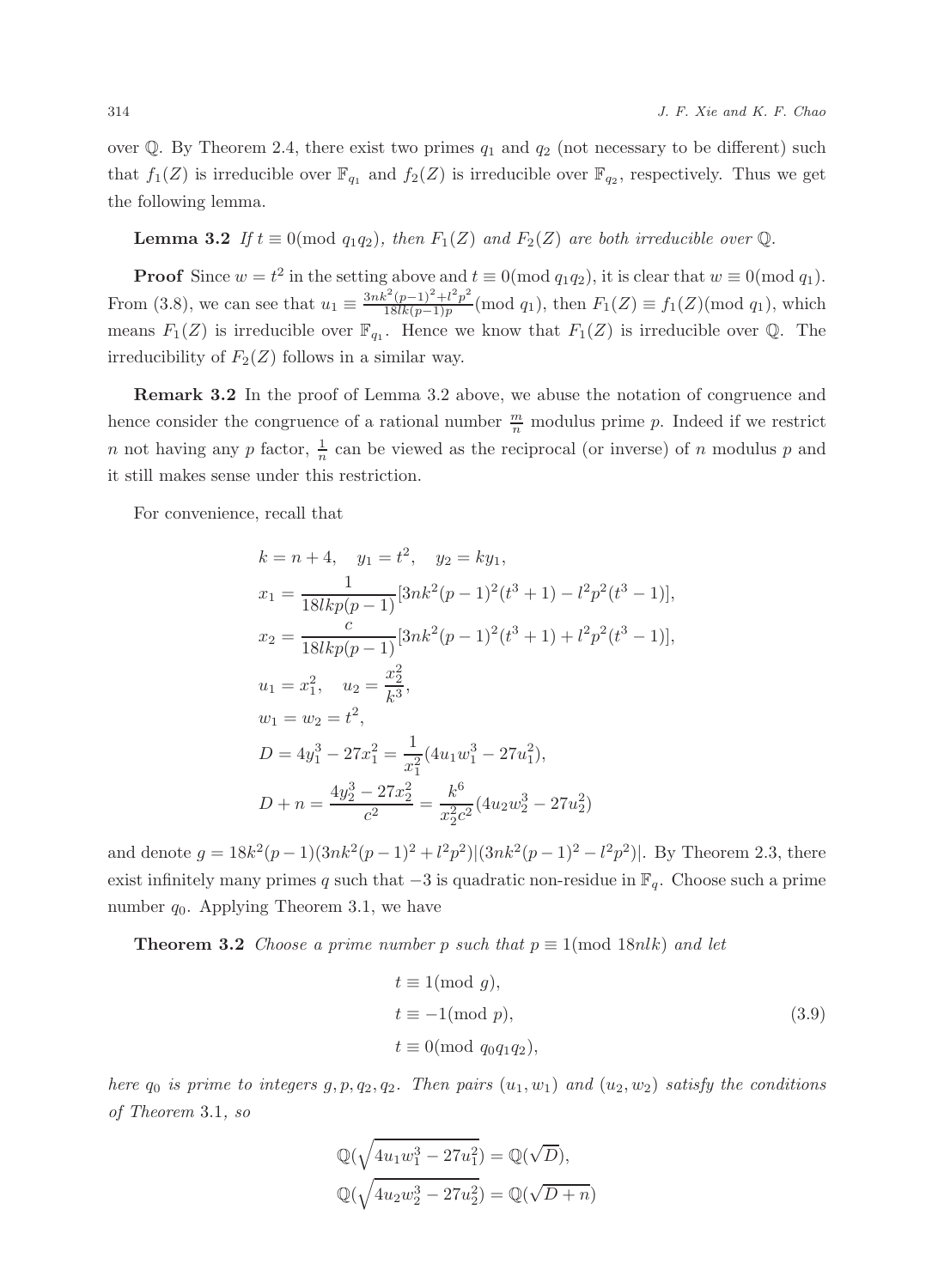over  $\mathbb Q$ . By Theorem 2.4, there exist two primes  $q_1$  and  $q_2$  (not necessary to be different) such that  $f_1(Z)$  is irreducible over  $\mathbb{F}_{q_1}$  and  $f_2(Z)$  is irreducible over  $\mathbb{F}_{q_2}$ , respectively. Thus we get the following lemma.

### **Lemma 3.2** If  $t \equiv 0 \pmod{q_1q_2}$ , then  $F_1(Z)$  and  $F_2(Z)$  are both irreducible over  $\mathbb{Q}$ .

**Proof** Since  $w = t^2$  in the setting above and  $t \equiv 0 \pmod{q_1 q_2}$ , it is clear that  $w \equiv 0 \pmod{q_1}$ . From (3.8), we can see that  $u_1 \equiv \frac{3nk^2(p-1)^2 + l^2p^2}{18lk(p-1)p}$  $\frac{1}{18lk(p-1)+1}$  (mod  $q_1$ ), then  $F_1(Z) \equiv f_1(Z) \pmod{q_1}$ , which means  $F_1(Z)$  is irreducible over  $\mathbb{F}_{q_1}$ . Hence we know that  $F_1(Z)$  is irreducible over Q. The irreducibility of  $F_2(Z)$  follows in a similar way.

Remark 3.2 In the proof of Lemma 3.2 above, we abuse the notation of congruence and hence consider the congruence of a rational number  $\frac{m}{n}$  modulus prime p. Indeed if we restrict n not having any p factor,  $\frac{1}{n}$  can be viewed as the reciprocal (or inverse) of n modulus p and it still makes sense under this restriction.

For convenience, recall that

$$
k = n + 4, \quad y_1 = t^2, \quad y_2 = ky_1,
$$
  
\n
$$
x_1 = \frac{1}{18lkp(p-1)} [3nk^2(p-1)^2(t^3+1) - l^2p^2(t^3-1)],
$$
  
\n
$$
x_2 = \frac{c}{18lkp(p-1)} [3nk^2(p-1)^2(t^3+1) + l^2p^2(t^3-1)],
$$
  
\n
$$
u_1 = x_1^2, \quad u_2 = \frac{x_2^2}{k^3},
$$
  
\n
$$
w_1 = w_2 = t^2,
$$
  
\n
$$
D = 4y_1^3 - 27x_1^2 = \frac{1}{x_1^2} (4u_1w_1^3 - 27u_1^2),
$$
  
\n
$$
D + n = \frac{4y_2^3 - 27x_2^2}{c^2} = \frac{k^6}{x_2^2c^2} (4u_2w_2^3 - 27u_2^2)
$$

and denote  $g = 18k^2(p-1)(3nk^2(p-1)^2 + l^2p^2)|(3nk^2(p-1)^2 - l^2p^2)|$ . By Theorem 2.3, there exist infinitely many primes q such that  $-3$  is quadratic non-residue in  $\mathbb{F}_q$ . Choose such a prime number  $q_0$ . Applying Theorem 3.1, we have

**Theorem 3.2** Choose a prime number p such that  $p \equiv 1 \pmod{18nlk}$  and let

$$
t \equiv 1(\text{mod } g),
$$
  
\n
$$
t \equiv -1(\text{mod } p),
$$
  
\n
$$
t \equiv 0(\text{mod } q_0 q_1 q_2),
$$
  
\n(3.9)

here  $q_0$  is prime to integers  $g, p, q_2, q_2$ . Then pairs  $(u_1, w_1)$  and  $(u_2, w_2)$  satisfy the conditions of Theorem 3.1, so

$$
\mathbb{Q}(\sqrt{4u_1w_1^3 - 27u_1^2}) = \mathbb{Q}(\sqrt{D}),
$$
  

$$
\mathbb{Q}(\sqrt{4u_2w_2^3 - 27u_2^2}) = \mathbb{Q}(\sqrt{D} + n)
$$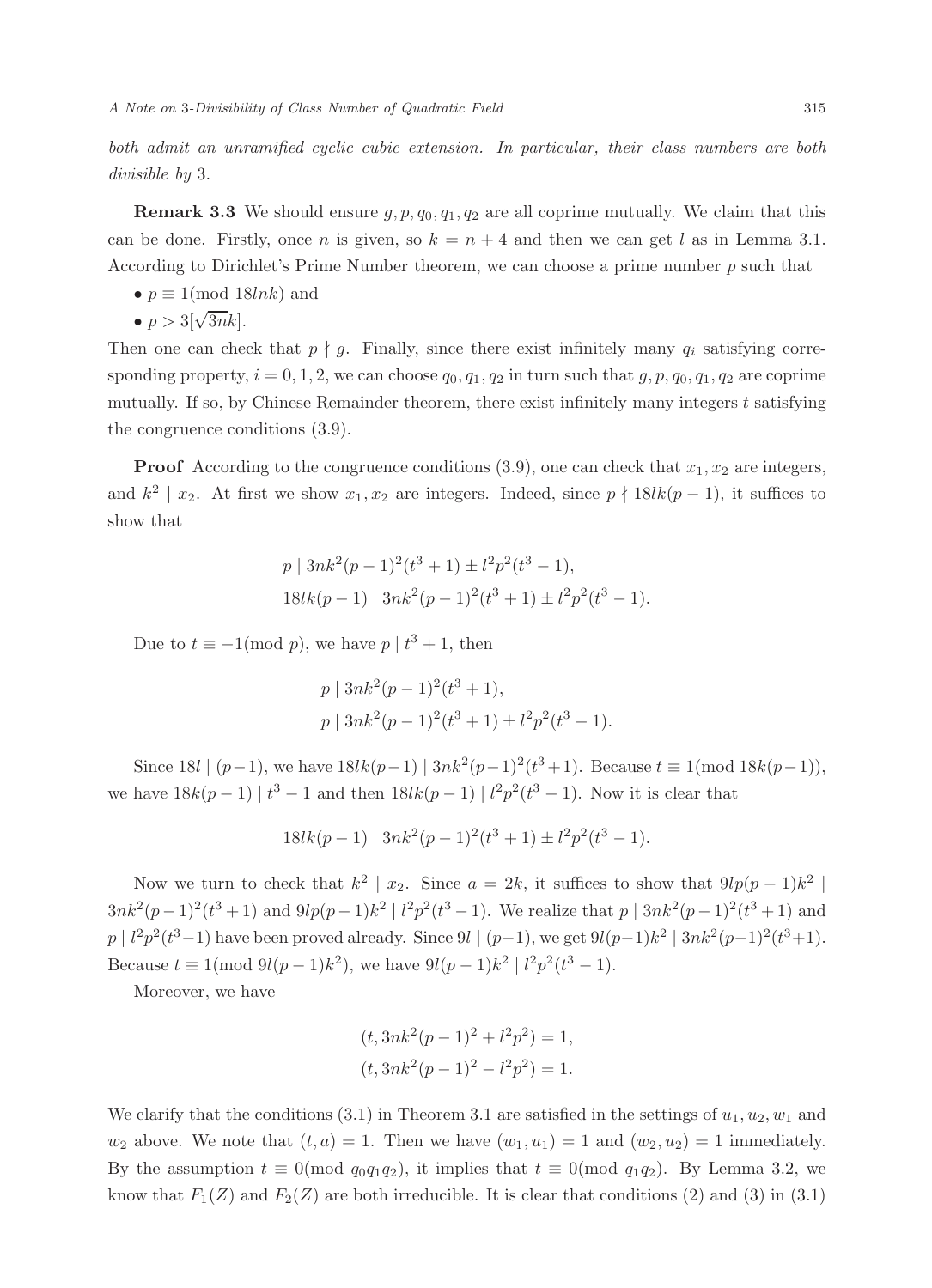both admit an unramified cyclic cubic extension. In particular, their class numbers are both divisible by 3.

**Remark 3.3** We should ensure  $g, p, q_0, q_1, q_2$  are all coprime mutually. We claim that this can be done. Firstly, once *n* is given, so  $k = n + 4$  and then we can get l as in Lemma 3.1. According to Dirichlet's Prime Number theorem, we can choose a prime number  $p$  such that

•  $p \equiv 1 \pmod{18 ln k}$  and

$$
\bullet \ p > 3[\sqrt{3n}k].
$$

Then one can check that  $p \nmid q$ . Finally, since there exist infinitely many  $q_i$  satisfying corresponding property,  $i = 0, 1, 2$ , we can choose  $q_0, q_1, q_2$  in turn such that  $g, p, q_0, q_1, q_2$  are coprime mutually. If so, by Chinese Remainder theorem, there exist infinitely many integers  $t$  satisfying the congruence conditions (3.9).

**Proof** According to the congruence conditions  $(3.9)$ , one can check that  $x_1, x_2$  are integers, and  $k^2 \mid x_2$ . At first we show  $x_1, x_2$  are integers. Indeed, since  $p \nmid 18$ l $k(p-1)$ , it suffices to show that

$$
p | 3nk2(p-1)2(t3+1) \pm l2p2(t3-1),
$$
  
18lk(p-1) | 3nk<sup>2</sup>(p-1)<sup>2</sup>(t<sup>3</sup>+1) \pm l<sup>2</sup>p<sup>2</sup>(t<sup>3</sup>-1).

Due to  $t \equiv -1 \pmod{p}$ , we have  $p \mid t^3 + 1$ , then

$$
p | 3nk2(p-1)2(t3+1),
$$
  

$$
p | 3nk2(p-1)2(t3+1) \pm l2p2(t3-1).
$$

Since 18l  $|(p-1)$ , we have  $18lk(p-1) | 3nk^2(p-1)^2(t^3+1)$ . Because  $t \equiv 1 \pmod{18k(p-1)}$ , we have  $18k(p-1) | t^3 - 1$  and then  $18lk(p-1) | l^2p^2(t^3 - 1)$ . Now it is clear that

$$
18lk(p-1) | 3nk^{2}(p-1)^{2}(t^{3}+1) \pm l^{2}p^{2}(t^{3}-1).
$$

Now we turn to check that  $k^2 \mid x_2$ . Since  $a = 2k$ , it suffices to show that  $9lp(p-1)k^2 \mid$  $3nk^2(p-1)^2(t^3+1)$  and  $9lp(p-1)k^2 | l^2p^2(t^3-1)$ . We realize that  $p | 3nk^2(p-1)^2(t^3+1)$  and  $p \mid l^2p^2(t^3-1)$  have been proved already. Since  $9l \mid (p-1)$ , we get  $9l(p-1)k^2 \mid 3nk^2(p-1)^2(t^3+1)$ . Because  $t \equiv 1 \pmod{9l(p-1)k^2}$ , we have  $9l(p-1)k^2 \mid l^2p^2(t^3-1)$ .

Moreover, we have

$$
(t,3nk2(p-1)2+l2p2) = 1,
$$
  

$$
(t,3nk2(p-1)2-l2p2) = 1.
$$

We clarify that the conditions  $(3.1)$  in Theorem 3.1 are satisfied in the settings of  $u_1, u_2, w_1$  and  $w_2$  above. We note that  $(t, a) = 1$ . Then we have  $(w_1, u_1) = 1$  and  $(w_2, u_2) = 1$  immediately. By the assumption  $t \equiv 0 \pmod{q_0q_1q_2}$ , it implies that  $t \equiv 0 \pmod{q_1q_2}$ . By Lemma 3.2, we know that  $F_1(Z)$  and  $F_2(Z)$  are both irreducible. It is clear that conditions (2) and (3) in (3.1)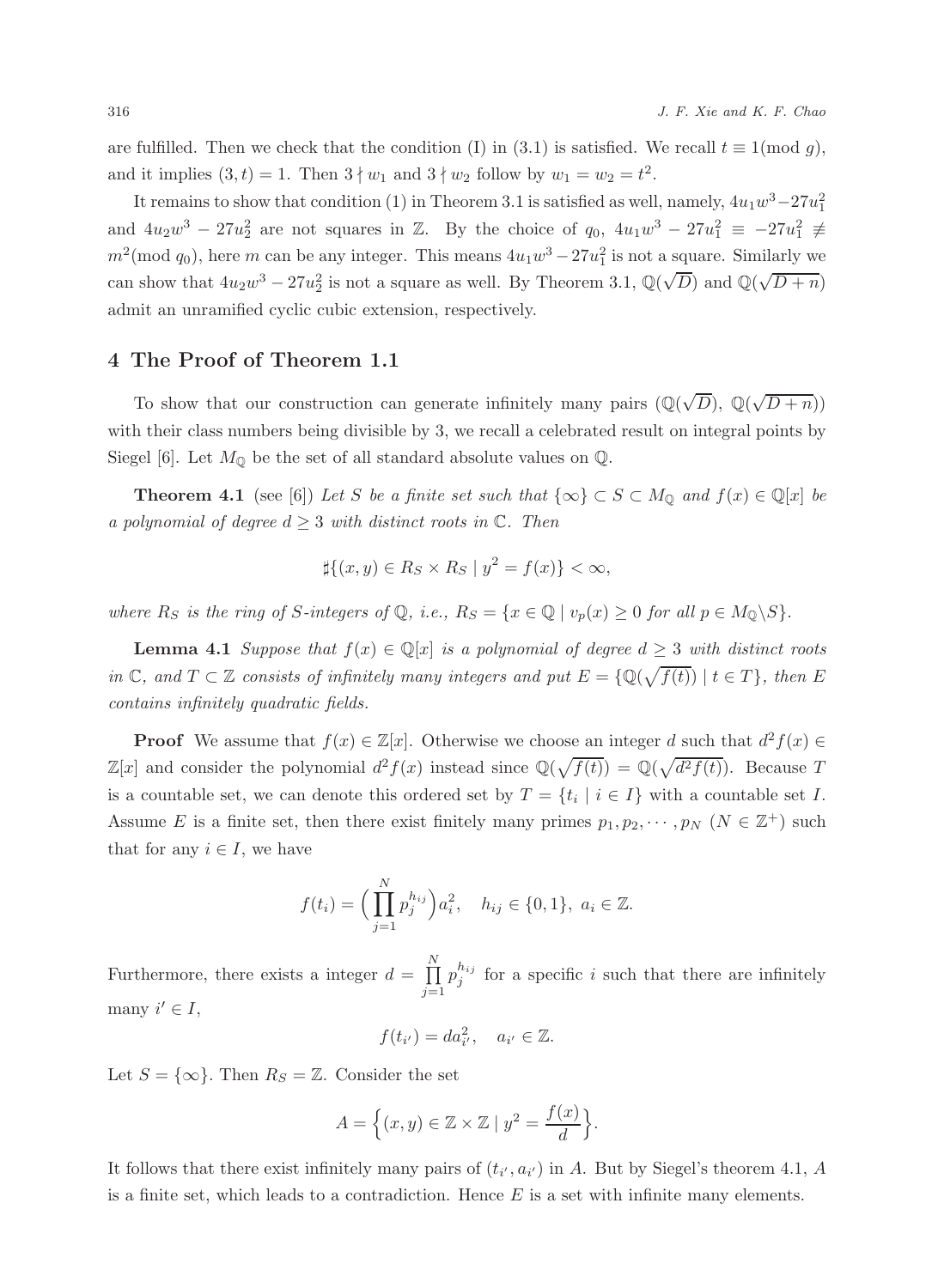are fulfilled. Then we check that the condition (I) in (3.1) is satisfied. We recall  $t \equiv 1 \pmod{q}$ , and it implies  $(3,t) = 1$ . Then  $3 \nmid w_1$  and  $3 \nmid w_2$  follow by  $w_1 = w_2 = t^2$ .

It remains to show that condition (1) in Theorem 3.1 is satisfied as well, namely,  $4u_1w^3 - 27u_1^2$ and  $4u_2w^3 - 27u_2^2$  are not squares in Z. By the choice of  $q_0$ ,  $4u_1w^3 - 27u_1^2 \equiv -27u_1^2 \not\equiv$  $m^2 \text{(mod } q_0)$ , here m can be any integer. This means  $4u_1w^3 - 27u_1^2$  is not a square. Similarly we can show that  $4u_2w^3 - 27u_2^2$  is not a square as well. By Theorem 3.1,  $\mathbb{Q}(\sqrt{D})$  and  $\mathbb{Q}(\sqrt{D} + n)$ admit an unramified cyclic cubic extension, respectively.

#### 4 The Proof of Theorem 1.1

To show that our construction can generate infinitely many pairs  $(\mathbb{Q}(\sqrt{D}), \mathbb{Q}(\sqrt{D+n}))$ with their class numbers being divisible by 3, we recall a celebrated result on integral points by Siegel [6]. Let  $M_{\mathbb{Q}}$  be the set of all standard absolute values on  $\mathbb{Q}$ .

**Theorem 4.1** (see [6]) Let S be a finite set such that  $\{\infty\} \subset S \subset M_0$  and  $f(x) \in \mathbb{Q}[x]$  be a polynomial of degree  $d \geq 3$  with distinct roots in  $\mathbb{C}$ . Then

$$
\sharp \{(x,y)\in R_S\times R_S \mid y^2 = f(x)\} < \infty,
$$

where  $R_S$  is the ring of S-integers of  $\mathbb{Q}$ , i.e.,  $R_S = \{x \in \mathbb{Q} \mid v_p(x) \geq 0 \text{ for all } p \in M_0 \setminus S\}.$ 

**Lemma 4.1** Suppose that  $f(x) \in \mathbb{Q}[x]$  is a polynomial of degree  $d \geq 3$  with distinct roots in  $\mathbb{C}$ , and  $T \subset \mathbb{Z}$  consists of infinitely many integers and put  $E = \{ \mathbb{Q}(\sqrt{f(t)}) \mid t \in T \}$ , then  $E$ contains infinitely quadratic fields.

**Proof** We assume that  $f(x) \in \mathbb{Z}[x]$ . Otherwise we choose an integer d such that  $d^2 f(x) \in$  $\mathbb{Z}[x]$  and consider the polynomial  $d^2 f(x)$  instead since  $\mathbb{Q}(\sqrt{f(t)}) = \mathbb{Q}(\sqrt{d^2 f(t)})$ . Because T is a countable set, we can denote this ordered set by  $T = \{t_i \mid i \in I\}$  with a countable set I. Assume E is a finite set, then there exist finitely many primes  $p_1, p_2, \dots, p_N$   $(N \in \mathbb{Z}^+)$  such that for any  $i \in I$ , we have

$$
f(t_i) = \Big(\prod_{j=1}^N p_j^{h_{ij}}\Big)a_i^2, \quad h_{ij} \in \{0, 1\}, \ a_i \in \mathbb{Z}.
$$

Furthermore, there exists a integer  $d = \prod_{i=1}^{N}$  $j=1$  $p_j^{h_{ij}}$  for a specific i such that there are infinitely many  $i' \in I$ ,

$$
f(t_{i'})=da_{i'}^2, \quad a_{i'}\in\mathbb{Z}.
$$

Let  $S = \{\infty\}$ . Then  $R_S = \mathbb{Z}$ . Consider the set

$$
A = \left\{ (x, y) \in \mathbb{Z} \times \mathbb{Z} \mid y^2 = \frac{f(x)}{d} \right\}.
$$

It follows that there exist infinitely many pairs of  $(t_{i'}, a_{i'})$  in A. But by Siegel's theorem 4.1, A is a finite set, which leads to a contradiction. Hence  $E$  is a set with infinite many elements.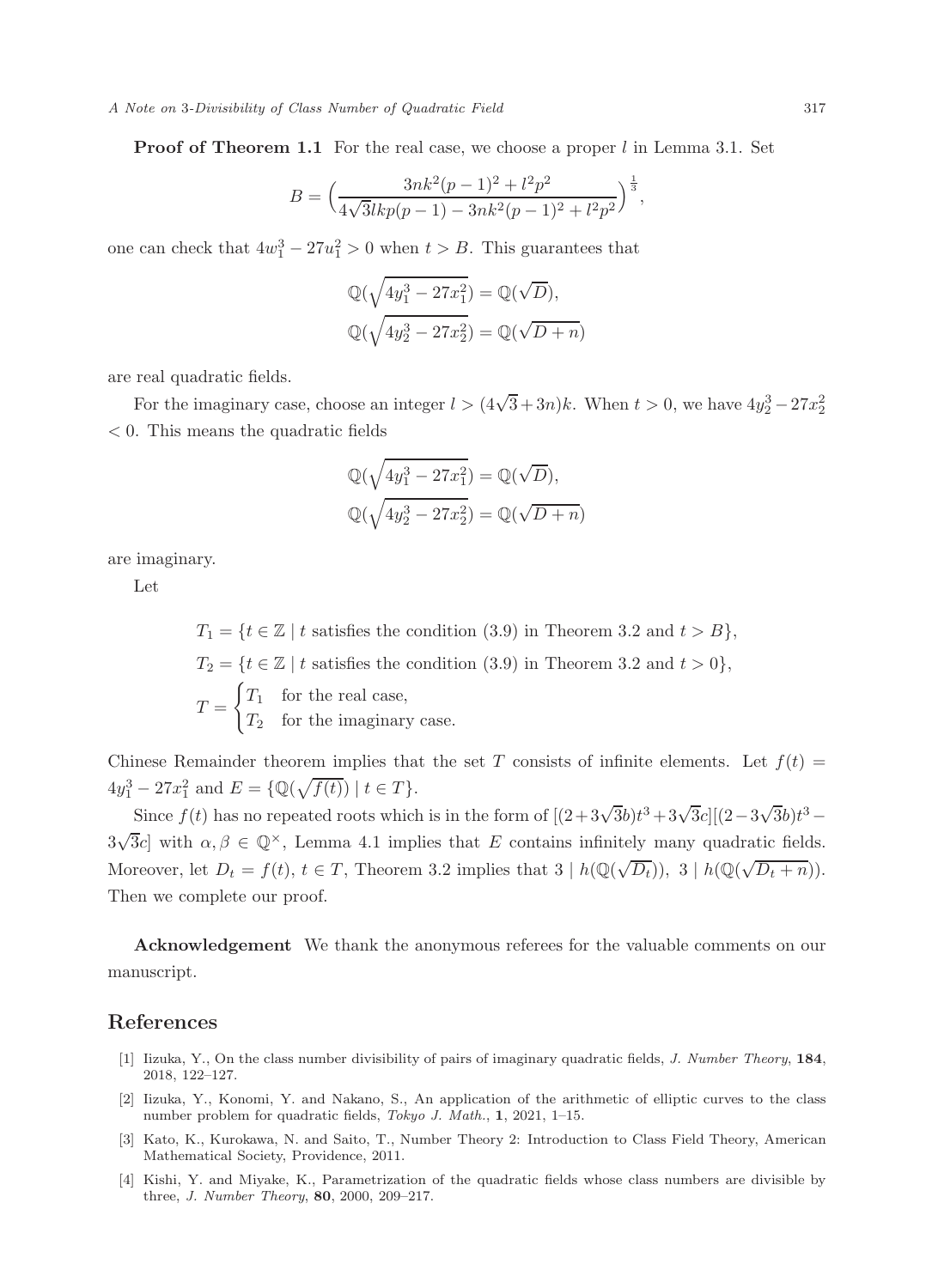A Note on 3-Divisibility of Class Number of Quadratic Field 317

**Proof of Theorem 1.1** For the real case, we choose a proper l in Lemma 3.1. Set

$$
B = \left(\frac{3nk^2(p-1)^2 + l^2p^2}{4\sqrt{3}lkp(p-1) - 3nk^2(p-1)^2 + l^2p^2}\right)^{\frac{1}{3}},
$$

one can check that  $4w_1^3 - 27u_1^2 > 0$  when  $t > B$ . This guarantees that

$$
\mathbb{Q}(\sqrt{4y_1^3 - 27x_1^2}) = \mathbb{Q}(\sqrt{D}),
$$
  

$$
\mathbb{Q}(\sqrt{4y_2^3 - 27x_2^2}) = \mathbb{Q}(\sqrt{D} + n)
$$

are real quadratic fields.

For the imaginary case, choose an integer  $l > (4\sqrt{3} + 3n)k$ . When  $t > 0$ , we have  $4y_2^3 - 27x_2^2$ < 0. This means the quadratic fields

$$
\mathbb{Q}(\sqrt{4y_1^3 - 27x_1^2}) = \mathbb{Q}(\sqrt{D}),
$$
  

$$
\mathbb{Q}(\sqrt{4y_2^3 - 27x_2^2}) = \mathbb{Q}(\sqrt{D + n})
$$

are imaginary.

Let

 $T_1 = \{t \in \mathbb{Z} \mid t \text{ satisfies the condition (3.9) in Theorem 3.2 and } t > B\},\$  $T_2 = \{t \in \mathbb{Z} \mid t \text{ satisfies the condition (3.9) in Theorem 3.2 and } t > 0\},\$  $T =$  $\int T_1$  for the real case,  $T_2$  for the imaginary case.

Chinese Remainder theorem implies that the set T consists of infinite elements. Let  $f(t)$  =  $4y_1^3 - 27x_1^2$  and  $E = \{ \mathbb{Q}(\sqrt{f(t)}) \mid t \in T \}.$ 

Since  $f(t)$  has no repeated roots which is in the form of  $[(2+3\sqrt{3}b)t^3+3\sqrt{3}c][(2-3\sqrt{3}b)t^3 3\sqrt{3}c$  with  $\alpha, \beta \in \mathbb{Q}^{\times}$ , Lemma 4.1 implies that E contains infinitely many quadratic fields. Moreover, let  $D_t = f(t)$ ,  $t \in T$ , Theorem 3.2 implies that  $3 | h(\mathbb{Q}(\sqrt{D_t}))$ ,  $3 | h(\mathbb{Q}(\sqrt{D_t + n}))$ . Then we complete our proof.

Acknowledgement We thank the anonymous referees for the valuable comments on our manuscript.

#### References

- [1] Iizuka, Y., On the class number divisibility of pairs of imaginary quadratic fields, J. Number Theory, 184, 2018, 122–127.
- [2] Iizuka, Y., Konomi, Y. and Nakano, S., An application of the arithmetic of elliptic curves to the class number problem for quadratic fields, Tokyo J. Math., 1, 2021, 1–15.
- [3] Kato, K., Kurokawa, N. and Saito, T., Number Theory 2: Introduction to Class Field Theory, American Mathematical Society, Providence, 2011.
- [4] Kishi, Y. and Miyake, K., Parametrization of the quadratic fields whose class numbers are divisible by three, J. Number Theory, 80, 2000, 209–217.